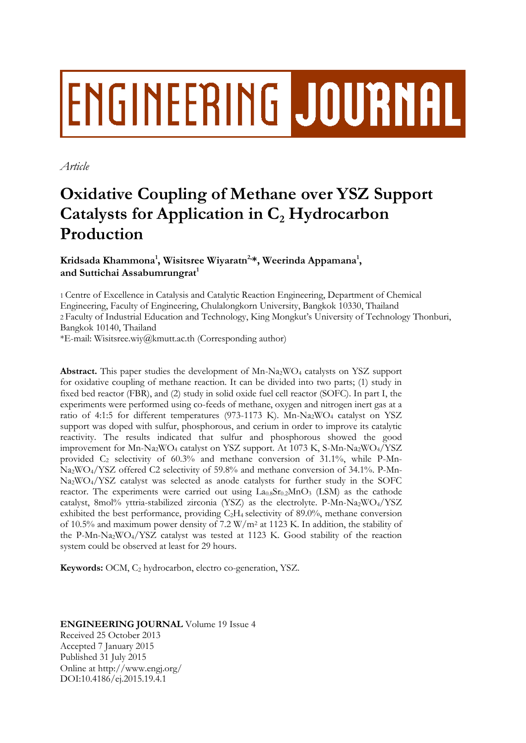# **ENGINEERING JOURNAL**

*Article*

# **Oxidative Coupling of Methane over YSZ Support Catalysts for Application in C<sup>2</sup> Hydrocarbon Production**

**Kridsada Khammona<sup>1</sup> , Wisitsree Wiyaratn2, \*, Weerinda Appamana<sup>1</sup> , and Suttichai Assabumrungrat<sup>1</sup>**

1 Centre of Excellence in Catalysis and Catalytic Reaction Engineering, Department of Chemical Engineering, Faculty of Engineering, Chulalongkorn University, Bangkok 10330, Thailand 2 Faculty of Industrial Education and Technology, King Mongkut's University of Technology Thonburi, Bangkok 10140, Thailand

\*E-mail: Wisitsree.wiy@kmutt.ac.th (Corresponding author)

**Abstract.** This paper studies the development of Mn-Na2WO<sup>4</sup> catalysts on YSZ support for oxidative coupling of methane reaction. It can be divided into two parts; (1) study in fixed bed reactor (FBR), and (2) study in solid oxide fuel cell reactor (SOFC). In part I, the experiments were performed using co-feeds of methane, oxygen and nitrogen inert gas at a ratio of 4:1:5 for different temperatures (973-1173 K). Mn-Na<sub>2</sub>WO<sub>4</sub> catalyst on YSZ support was doped with sulfur, phosphorous, and cerium in order to improve its catalytic reactivity. The results indicated that sulfur and phosphorous showed the good improvement for Mn-Na2WO<sup>4</sup> catalyst on YSZ support. At 1073 K, S-Mn-Na2WO4/YSZ provided  $C_2$  selectivity of 60.3% and methane conversion of 31.1%, while P-Mn-Na2WO4/YSZ offered C2 selectivity of 59.8% and methane conversion of 34.1%. P-Mn-Na2WO4/YSZ catalyst was selected as anode catalysts for further study in the SOFC reactor. The experiments were carried out using  $La<sub>0.8</sub>Sr<sub>0.2</sub>MnO<sub>3</sub>$  (LSM) as the cathode catalyst, 8mol% yttria-stabilized zirconia (YSZ) as the electrolyte. P-Mn-Na<sub>2</sub>WO<sub>4</sub>/YSZ exhibited the best performance, providing  $C_2H_4$  selectivity of 89.0%, methane conversion of 10.5% and maximum power density of 7.2  $\frac{W}{m^2}$  at 1123 K. In addition, the stability of the P-Mn-Na2WO4/YSZ catalyst was tested at 1123 K. Good stability of the reaction system could be observed at least for 29 hours.

**Keywords:** OCM, C<sub>2</sub> hydrocarbon, electro co-generation, YSZ.

**ENGINEERING JOURNAL** Volume 19 Issue 4 Received 25 October 2013 Accepted 7 January 2015 Published 31 July 2015 Online at http://www.engj.org/ DOI:10.4186/ej.2015.19.4.1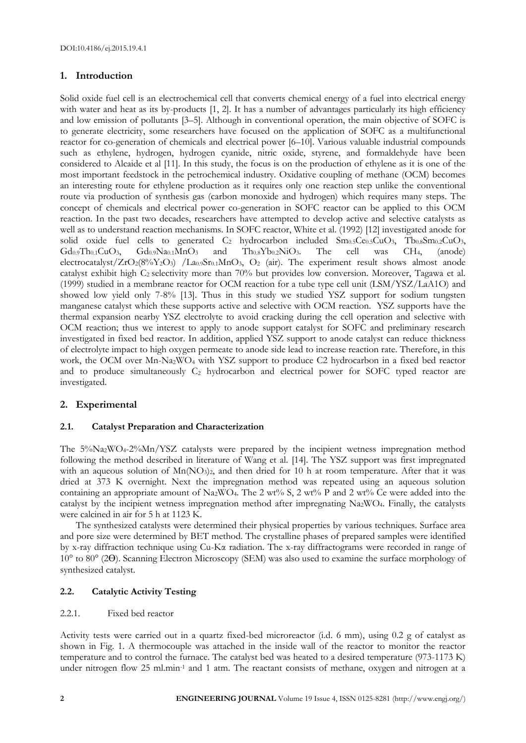# **1. Introduction**

Solid oxide fuel cell is an electrochemical cell that converts chemical energy of a fuel into electrical energy with water and heat as its by-products [1, 2]. It has a number of advantages particularly its high efficiency and low emission of pollutants [3–5]. Although in conventional operation, the main objective of SOFC is to generate electricity, some researchers have focused on the application of SOFC as a multifunctional reactor for co-generation of chemicals and electrical power [6–10]. Various valuable industrial compounds such as ethylene, hydrogen, hydrogen cyanide, nitric oxide, styrene, and formaldehyde have been considered to Alcaide et al [11]. In this study, the focus is on the production of ethylene as it is one of the most important feedstock in the petrochemical industry. Oxidative coupling of methane (OCM) becomes an interesting route for ethylene production as it requires only one reaction step unlike the conventional route via production of synthesis gas (carbon monoxide and hydrogen) which requires many steps. The concept of chemicals and electrical power co-generation in SOFC reactor can be applied to this OCM reaction. In the past two decades, researchers have attempted to develop active and selective catalysts as well as to understand reaction mechanisms. In SOFC reactor, White et al. (1992) [12] investigated anode for solid oxide fuel cells to generated  $C_2$  hydrocarbon included  $Sm_{0.5}Ce_{0.5}CuO_3$ ,  $Tb_{0.8}Sm_{0.2}CuO_3$ ,  $Gd_{0.9}Th_{0.1}CuO_3$ ,  $Gd_{0.9}Na_{0.1}MnO_3$  and  $Th_{0.8}Yb_{0.2}NiO_3$ . The cell was CH<sub>4</sub>, (anode) electrocatalyst/ZrO<sub>2</sub>(8%Y<sub>2</sub>O<sub>3</sub>) /La<sub>0.9</sub>Sr<sub>0.1</sub>MnO<sub>3</sub>, O<sub>2</sub> (air). The experiment result shows almost anode catalyst exhibit high C<sub>2</sub> selectivity more than 70% but provides low conversion. Moreover, Tagawa et al. (1999) studied in a membrane reactor for OCM reaction for a tube type cell unit (LSM/YSZ/LaA1O) and showed low yield only 7-8% [13]. Thus in this study we studied YSZ support for sodium tungsten manganese catalyst which these supports active and selective with OCM reaction. YSZ supports have the thermal expansion nearby YSZ electrolyte to avoid cracking during the cell operation and selective with OCM reaction; thus we interest to apply to anode support catalyst for SOFC and preliminary research investigated in fixed bed reactor. In addition, applied YSZ support to anode catalyst can reduce thickness of electrolyte impact to high oxygen permeate to anode side lead to increase reaction rate. Therefore, in this work, the OCM over Mn-Na2WO<sup>4</sup> with YSZ support to produce C2 hydrocarbon in a fixed bed reactor and to produce simultaneously  $C_2$  hydrocarbon and electrical power for SOFC typed reactor are investigated.

# **2. Experimental**

# **2.1. Catalyst Preparation and Characterization**

The 5%Na2WO4-2%Mn/YSZ catalysts were prepared by the incipient wetness impregnation method following the method described in literature of Wang et al. [14]. The YSZ support was first impregnated with an aqueous solution of Mn(NO<sub>3</sub>)<sub>2</sub>, and then dried for 10 h at room temperature. After that it was dried at 373 K overnight. Next the impregnation method was repeated using an aqueous solution containing an appropriate amount of Na<sub>2</sub>WO<sub>4</sub>. The 2 wt% S, 2 wt% P and 2 wt% Ce were added into the catalyst by the incipient wetness impregnation method after impregnating Na2WO4. Finally, the catalysts were calcined in air for 5 h at 1123 K.

The synthesized catalysts were determined their physical properties by various techniques. Surface area and pore size were determined by BET method. The crystalline phases of prepared samples were identified by x-ray diffraction technique using Cu-Kα radiation. The x-ray diffractograms were recorded in range of 10° to 80° (2Ɵ). Scanning Electron Microscopy (SEM) was also used to examine the surface morphology of synthesized catalyst.

# **2.2. Catalytic Activity Testing**

### 2.2.1. Fixed bed reactor

Activity tests were carried out in a quartz fixed-bed microreactor (i.d. 6 mm), using 0.2 g of catalyst as shown in Fig. 1. A thermocouple was attached in the inside wall of the reactor to monitor the reactor temperature and to control the furnace. The catalyst bed was heated to a desired temperature (973-1173 K) under nitrogen flow 25 ml.min-1 and 1 atm. The reactant consists of methane, oxygen and nitrogen at a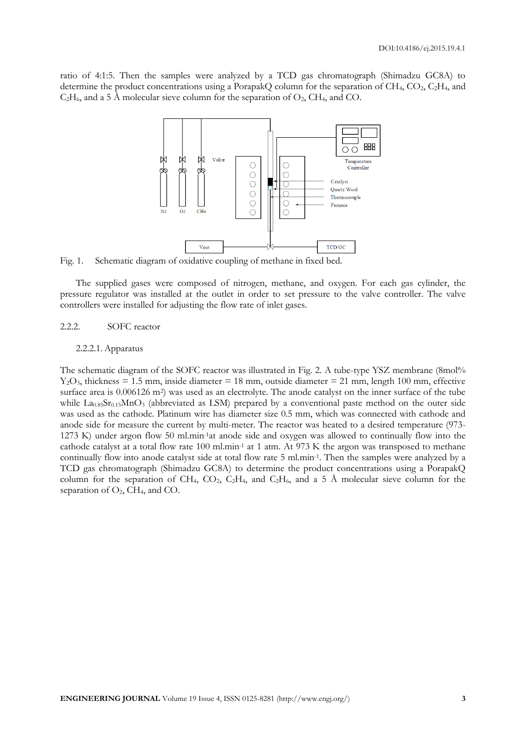ratio of 4:1:5. Then the samples were analyzed by a TCD gas chromatograph (Shimadzu GC8A) to determine the product concentrations using a PorapakQ column for the separation of  $CH_4$ ,  $CO_2$ ,  $C_2H_4$ , and  $C_2H_6$ , and a 5 Å molecular sieve column for the separation of  $O_2$ , CH<sub>4</sub>, and CO.



Fig. 1. Schematic diagram of oxidative coupling of methane in fixed bed.

The supplied gases were composed of nitrogen, methane, and oxygen. For each gas cylinder, the pressure regulator was installed at the outlet in order to set pressure to the valve controller. The valve controllers were installed for adjusting the flow rate of inlet gases.

#### 2.2.2. SOFC reactor

#### 2.2.2.1. Apparatus

The schematic diagram of the SOFC reactor was illustrated in Fig. 2. A tube-type YSZ membrane (8mol%  $Y_2O_3$ , thickness = 1.5 mm, inside diameter = 18 mm, outside diameter = 21 mm, length 100 mm, effective surface area is 0.006126 m<sup>2</sup>) was used as an electrolyte. The anode catalyst on the inner surface of the tube while  $\text{La}_{0.85}\text{Sr}_{0.15}\text{MnO}_3$  (abbreviated as LSM) prepared by a conventional paste method on the outer side was used as the cathode. Platinum wire has diameter size 0.5 mm, which was connected with cathode and anode side for measure the current by multi-meter. The reactor was heated to a desired temperature (973- 1273 K) under argon flow 50 ml.min-1at anode side and oxygen was allowed to continually flow into the cathode catalyst at a total flow rate 100 ml.min-1 at 1 atm. At 973 K the argon was transposed to methane continually flow into anode catalyst side at total flow rate 5 ml.min-1 . Then the samples were analyzed by a TCD gas chromatograph (Shimadzu GC8A) to determine the product concentrations using a PorapakQ column for the separation of CH<sub>4</sub>, CO<sub>2</sub>, C<sub>2</sub>H<sub>4</sub>, and C<sub>2</sub>H<sub>6</sub>, and a 5 Å molecular sieve column for the separation of  $O_2$ , CH<sub>4</sub>, and CO.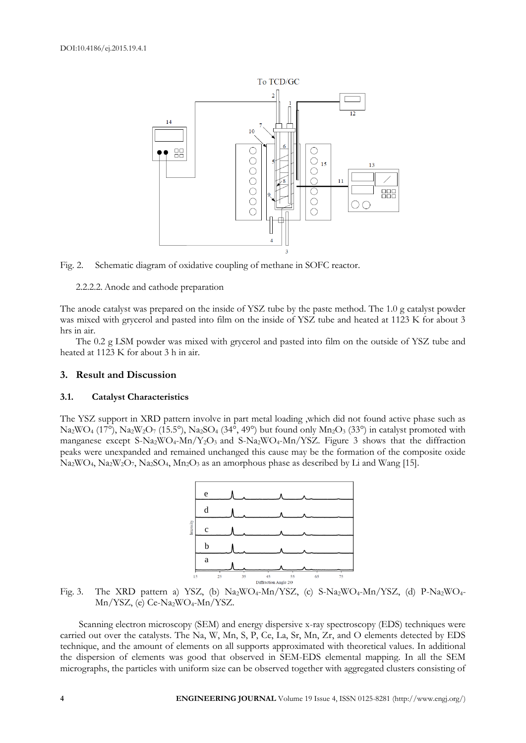



2.2.2.2. Anode and cathode preparation

The anode catalyst was prepared on the inside of YSZ tube by the paste method. The 1.0 g catalyst powder was mixed with grycerol and pasted into film on the inside of YSZ tube and heated at 1123 K for about 3 hrs in air.

The 0.2 g LSM powder was mixed with grycerol and pasted into film on the outside of YSZ tube and heated at 1123 K for about 3 h in air.

# **3. Result and Discussion**

### **3.1. Catalyst Characteristics**

The YSZ support in XRD pattern involve in part metal loading ,which did not found active phase such as  $Na_2WO_4$  (17<sup>o</sup>),  $Na_2W_2O_7$  (15.5<sup>o</sup>),  $Na_2SO_4$  (34<sup>o</sup>, 49<sup>o</sup>) but found only  $Mn_2O_3$  (33<sup>o</sup>) in catalyst promoted with manganese except S-Na<sub>2</sub>WO<sub>4</sub>-Mn/Y<sub>2</sub>O<sub>3</sub> and S-Na<sub>2</sub>WO<sub>4</sub>-Mn/YSZ. Figure 3 shows that the diffraction peaks were unexpanded and remained unchanged this cause may be the formation of the composite oxide  $Na_2WO_4$ ,  $Na_2W_2O_7$ ,  $Na_2SO_4$ ,  $Mn_2O_3$  as an amorphous phase as described by Li and Wang [15].



Fig. 3. The XRD pattern a) YSZ, (b) Na2WO4-Mn/YSZ, (c) S-Na2WO4-Mn/YSZ, (d) P-Na2WO4- Mn/YSZ, (e) Ce-Na2WO<sub>4</sub>-Mn/YSZ.

Scanning electron microscopy (SEM) and energy dispersive x-ray spectroscopy (EDS) techniques were carried out over the catalysts. The Na, W, Mn, S, P, Ce, La, Sr, Mn, Zr, and O elements detected by EDS technique, and the amount of elements on all supports approximated with theoretical values. In additional the dispersion of elements was good that observed in SEM-EDS elemental mapping. In all the SEM micrographs, the particles with uniform size can be observed together with aggregated clusters consisting of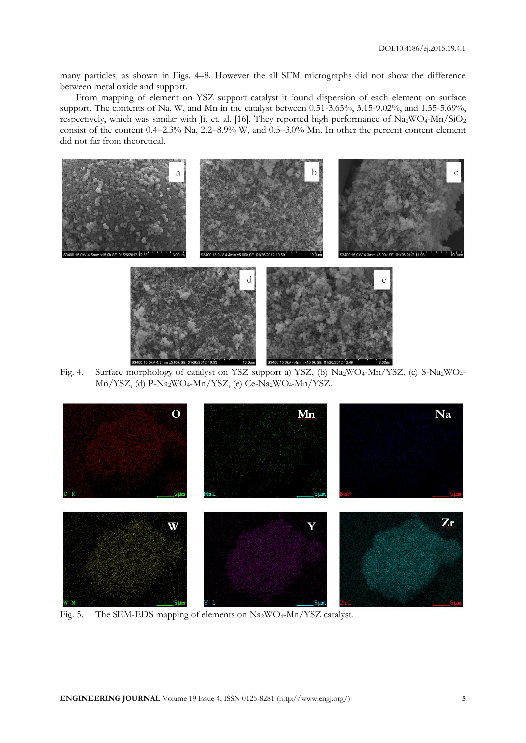many particles, as shown in Figs. 4–8. However the all SEM micrographs did not show the difference between metal oxide and support.

From mapping of element on YSZ support catalyst it found dispersion of each element on surface support. The contents of Na, W, and Mn in the catalyst between 0.51-3.65%, 3.15-9.02%, and 1.55-5.69%, respectively, which was similar with Ji, et. al. [16]. They reported high performance of Na<sub>2</sub>WO<sub>4</sub>-Mn/SiO<sub>2</sub> consist of the content 0.4–2.3% Na, 2.2–8.9% W, and 0.5–3.0% Mn. In other the percent content element did not far from theoretical.



Fig. 4. Surface morphology of catalyst on YSZ support a) YSZ, (b) Na<sub>2</sub>WO<sub>4</sub>-Mn/YSZ, (c) S-Na<sub>2</sub>WO<sub>4</sub>-Mn/YSZ, (d) P-Na<sub>2</sub>WO<sub>4</sub>-Mn/YSZ, (e) Ce-Na<sub>2</sub>WO<sub>4</sub>-Mn/YSZ.



Fig. 5. The SEM-EDS mapping of elements on Na<sub>2</sub>WO<sub>4</sub>-Mn/YSZ catalyst.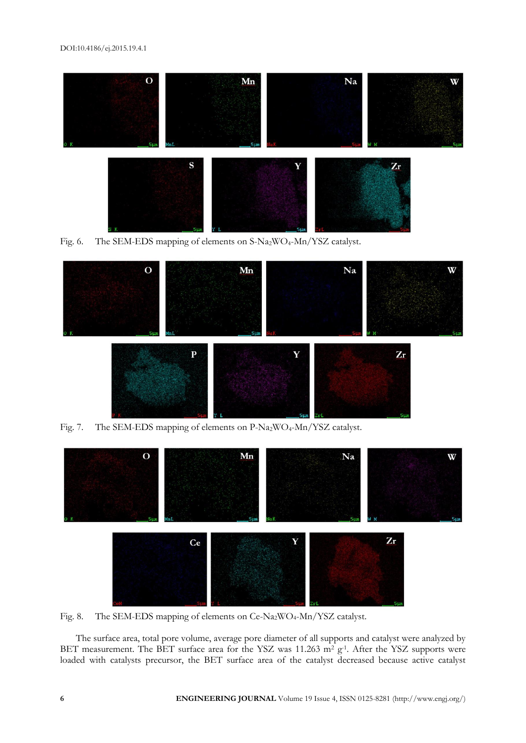#### DOI:10.4186/ej.2015.19.4.1



Fig. 6. The SEM-EDS mapping of elements on S-Na<sub>2</sub>WO<sub>4</sub>-Mn/YSZ catalyst.



Fig. 7. The SEM-EDS mapping of elements on P-Na<sub>2</sub>WO<sub>4</sub>-Mn/YSZ catalyst.



Fig. 8. The SEM-EDS mapping of elements on Ce-Na2WO4-Mn/YSZ catalyst.

The surface area, total pore volume, average pore diameter of all supports and catalyst were analyzed by BET measurement. The BET surface area for the YSZ was  $11.263$  m<sup>2</sup> g<sup>-1</sup>. After the YSZ supports were loaded with catalysts precursor, the BET surface area of the catalyst decreased because active catalyst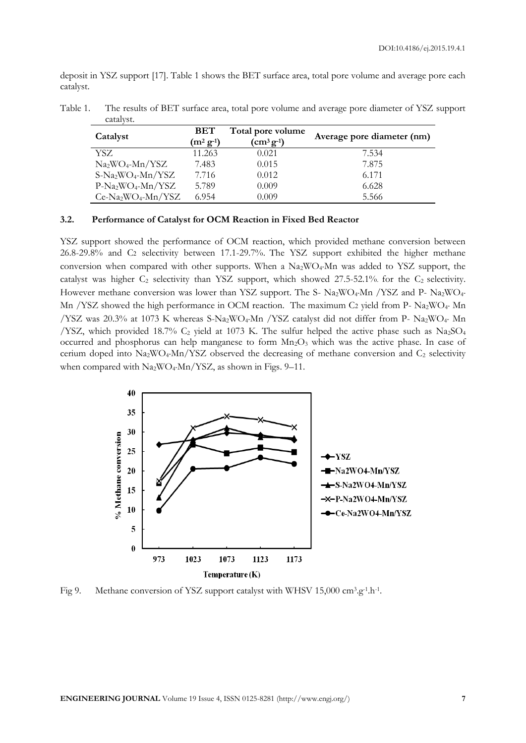deposit in YSZ support [17]. Table 1 shows the BET surface area, total pore volume and average pore each catalyst.

| Catalyst            | <b>BET</b><br>$(m^2 \, \mathbf{g}^{-1})$ | Total pore volume<br>$\rm (cm^3 \, g^{-1})$ | Average pore diameter (nm) |
|---------------------|------------------------------------------|---------------------------------------------|----------------------------|
| YSZ.                | 11.263                                   | 0.021                                       | 7.534                      |
| $Na2WO4-Mn/YSZ$     | 7.483                                    | 0.015                                       | 7.875                      |
| $S-Na_2WO_4-Mn/YSZ$ | 7.716                                    | 0.012                                       | 6.171                      |
| $P-Na_2WO_4-Mn/YSZ$ | 5.789                                    | 0.009                                       | 6.628                      |
| $Ce-Na2WO4-Mn/YSZ$  | 6.954                                    | 0.009                                       | 5.566                      |

Table 1. The results of BET surface area, total pore volume and average pore diameter of YSZ support catalyst.

# **3.2. Performance of Catalyst for OCM Reaction in Fixed Bed Reactor**

YSZ support showed the performance of OCM reaction, which provided methane conversion between 26.8-29.8% and C2 selectivity between 17.1-29.7%. The YSZ support exhibited the higher methane conversion when compared with other supports. When a  $Na<sub>2</sub>WO<sub>4</sub>Mn$  was added to YSZ support, the catalyst was higher  $C_2$  selectivity than YSZ support, which showed 27.5-52.1% for the  $C_2$  selectivity. However methane conversion was lower than YSZ support. The S-  $Na_2WO_4$ -Mn /YSZ and P-  $Na_2WO_4$ -Mn /YSZ showed the high performance in OCM reaction. The maximum C2 yield from P- Na<sub>2</sub>WO<sub>4</sub>- Mn /YSZ was 20.3% at 1073 K whereas S-Na2WO4-Mn /YSZ catalyst did not differ from P- Na2WO4- Mn /YSZ, which provided 18.7%  $C_2$  yield at 1073 K. The sulfur helped the active phase such as Na<sub>2</sub>SO<sub>4</sub> occurred and phosphorus can help manganese to form  $Mn_2O_3$  which was the active phase. In case of cerium doped into  $Na_2WO_4-Mn/YSZ$  observed the decreasing of methane conversion and  $C_2$  selectivity when compared with Na<sub>2</sub>WO<sub>4</sub>-Mn/YSZ, as shown in Figs. 9–11.



Fig 9. Methane conversion of YSZ support catalyst with WHSV 15,000 cm<sup>3</sup>.g<sup>-1</sup>.h<sup>-1</sup>.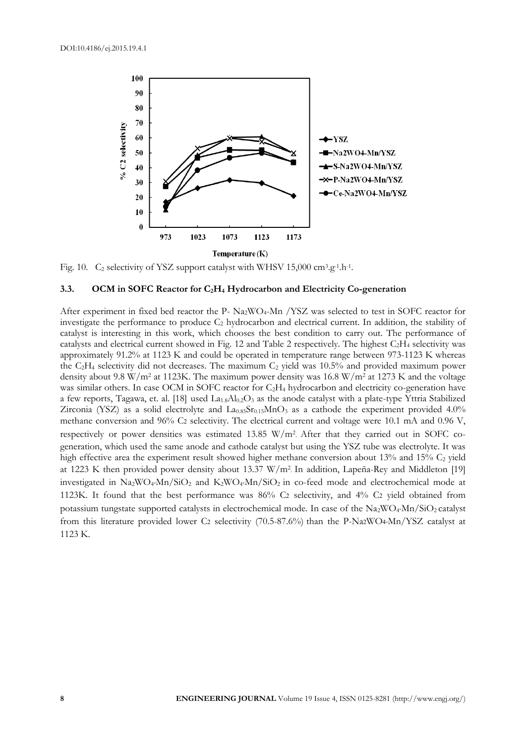

Fig. 10. C<sub>2</sub> selectivity of YSZ support catalyst with WHSV 15,000 cm<sup>3</sup>.g<sup>-1</sup>.h<sup>-1</sup>.

#### **3.3. OCM in SOFC Reactor for C2H<sup>4</sup> Hydrocarbon and Electricity Co-generation**

After experiment in fixed bed reactor the P- Na<sub>2</sub>WO<sub>4</sub>-Mn /YSZ was selected to test in SOFC reactor for investigate the performance to produce C<sup>2</sup> hydrocarbon and electrical current. In addition, the stability of catalyst is interesting in this work, which chooses the best condition to carry out. The performance of catalysts and electrical current showed in Fig. 12 and Table 2 respectively. The highest C2H<sup>4</sup> selectivity was approximately 91.2% at 1123 K and could be operated in temperature range between 973-1123 K whereas the  $C_2H_4$  selectivity did not decreases. The maximum  $C_2$  yield was 10.5% and provided maximum power density about 9.8 W/m<sup>2</sup> at 1123K. The maximum power density was 16.8 W/m<sup>2</sup> at 1273 K and the voltage was similar others. In case OCM in SOFC reactor for C<sub>2</sub>H<sub>4</sub> hydrocarbon and electricity co-generation have a few reports, Tagawa, et. al. [18] used  $La<sub>1.8</sub>Al<sub>0.2</sub>O<sub>3</sub>$  as the anode catalyst with a plate-type Yttria Stabilized Zirconia (YSZ) as a solid electrolyte and La0.85Sr0.15MnO3 as a cathode the experiment provided 4.0% methane conversion and 96% C2 selectivity. The electrical current and voltage were 10.1 mA and 0.96 V, respectively or power densities was estimated 13.85 W/m<sup>2</sup> . After that they carried out in SOFC cogeneration, which used the same anode and cathode catalyst but using the YSZ tube was electrolyte. It was high effective area the experiment result showed higher methane conversion about 13% and 15%  $C_2$  yield at 1223 K then provided power density about 13.37 W/m<sup>2</sup> . In addition, Lapeña-Rey and Middleton [19] investigated in  $Na_2WO_4Mn/SiO_2$  and  $K_2WO_4Mn/SiO_2$  in co-feed mode and electrochemical mode at 1123K. It found that the best performance was 86% C2 selectivity, and 4% C2 yield obtained from potassium tungstate supported catalysts in electrochemical mode. In case of the Na2WO4-Mn/SiO2 catalyst from this literature provided lower C2 selectivity (70.5-87.6%) than the P-Na2WO4-Mn/YSZ catalyst at 1123 K.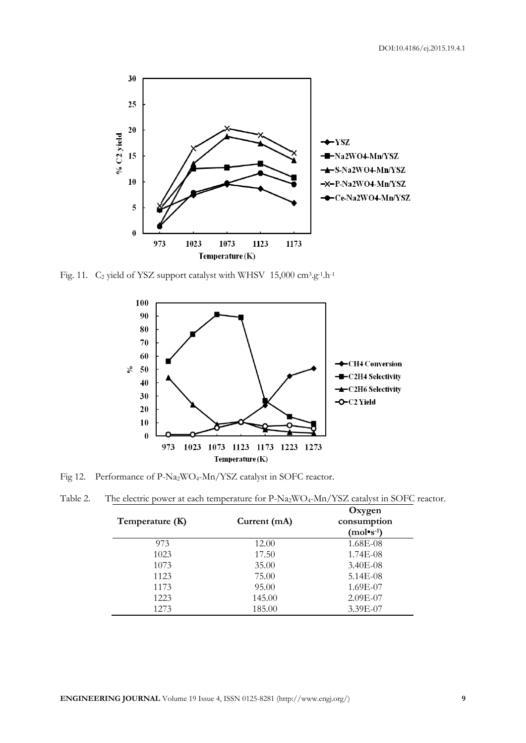

Fig. 11.  $C_2$  yield of YSZ support catalyst with WHSV 15,000  $cm^3 \cdot g^{-1} \cdot h^{-1}$ 



Fig 12. Performance of P-Na<sub>2</sub>WO<sub>4</sub>-Mn/YSZ catalyst in SOFC reactor.

| Temperature (K) | Current $(mA)$ | Oxygen<br>consumption<br>$(mol's-1)$ |
|-----------------|----------------|--------------------------------------|
| 973             | 12.00          | 1.68E-08                             |
| 1023            | 17.50          | 1.74E-08                             |
| 1073            | 35.00          | $3.40E-08$                           |
| 1123            | 75.00          | 5.14E-08                             |
| 1173            | 95.00          | 1.69E-07                             |

1223 145.00 2.09E-07 1273 185.00 3.39E-07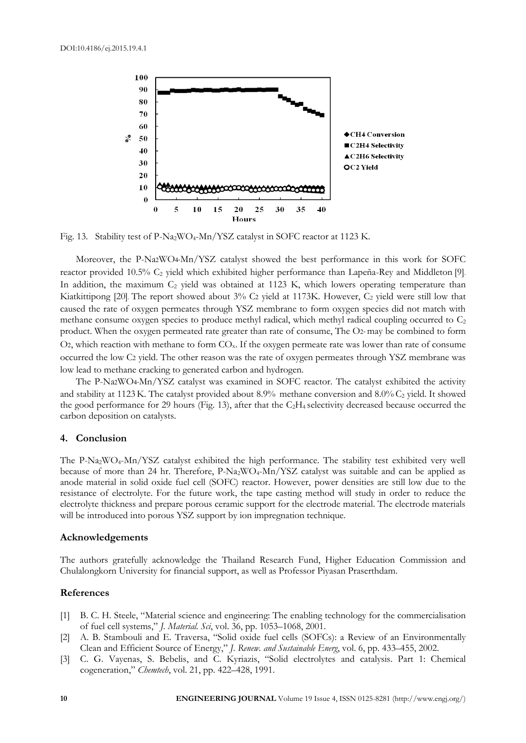

Fig. 13. Stability test of P-Na<sub>2</sub>WO<sub>4</sub>-Mn/YSZ catalyst in SOFC reactor at 1123 K.

Moreover, the P-Na2WO4-Mn/YSZ catalyst showed the best performance in this work for SOFC reactor provided 10.5% C<sub>2</sub> yield which exhibited higher performance than Lapeña-Rey and Middleton [9]. In addition, the maximum  $C_2$  yield was obtained at 1123 K, which lowers operating temperature than Kiatkittipong [20]. The report showed about 3% C2 yield at 1173K. However, C<sub>2</sub> yield were still low that caused the rate of oxygen permeates through YSZ membrane to form oxygen species did not match with methane consume oxygen species to produce methyl radical, which methyl radical coupling occurred to C<sub>2</sub> product. When the oxygen permeated rate greater than rate of consume, The O2- may be combined to form O2, which reaction with methane to form  $CO<sub>x</sub>$ . If the oxygen permeate rate was lower than rate of consume occurred the low C2 yield. The other reason was the rate of oxygen permeates through YSZ membrane was low lead to methane cracking to generated carbon and hydrogen.

The P-Na2WO4-Mn/YSZ catalyst was examined in SOFC reactor. The catalyst exhibited the activity and stability at 1123 K. The catalyst provided about 8.9% methane conversion and 8.0% C<sub>2</sub> yield. It showed the good performance for 29 hours (Fig. 13), after that the  $C_2H_4$  selectivity decreased because occurred the carbon deposition on catalysts.

#### **4. Conclusion**

The P-Na2WO4-Mn/YSZ catalyst exhibited the high performance. The stability test exhibited very well because of more than 24 hr. Therefore, P-Na<sub>2</sub>WO<sub>4</sub>-Mn/YSZ catalyst was suitable and can be applied as anode material in solid oxide fuel cell (SOFC) reactor. However, power densities are still low due to the resistance of electrolyte. For the future work, the tape casting method will study in order to reduce the electrolyte thickness and prepare porous ceramic support for the electrode material. The electrode materials will be introduced into porous YSZ support by ion impregnation technique.

#### **Acknowledgements**

The authors gratefully acknowledge the Thailand Research Fund, Higher Education Commission and Chulalongkorn University for financial support, as well as Professor Piyasan Praserthdam.

# **References**

- [1] B. C. H. Steele, "Material science and engineering: The enabling technology for the commercialisation of fuel cell systems," *J. Material. Sci*, vol. 36, pp. 1053–1068, 2001.
- [2] A. B. Stambouli and E. Traversa, "Solid oxide fuel cells (SOFCs): a Review of an Environmentally Clean and Efficient Source of Energy," *J. Renew. and Sustainable Energ*, vol. 6, pp. 433–455, 2002.
- [3] C. G. Vayenas, S. Bebelis, and C. Kyriazis, "Solid electrolytes and catalysis. Part 1: Chemical cogeneration," *Chemtech*, vol. 21, pp. 422–428, 1991.